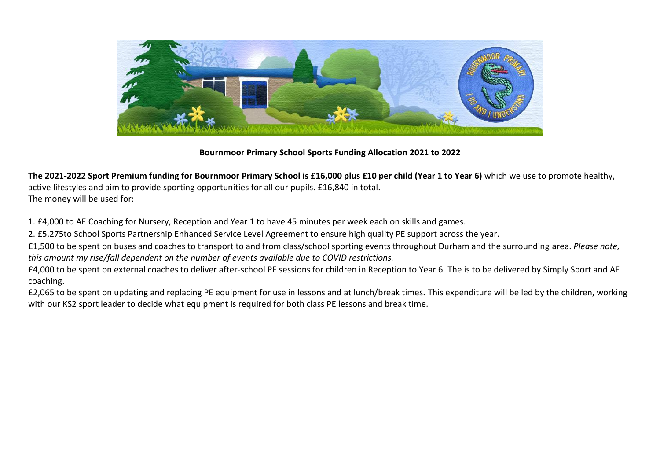

### **Bournmoor Primary School Sports Funding Allocation 2021 to 2022**

**The 2021-2022 Sport Premium funding for Bournmoor Primary School is £16,000 plus £10 per child (Year 1 to Year 6)** which we use to promote healthy, active lifestyles and aim to provide sporting opportunities for all our pupils. £16,840 in total. The money will be used for:

1. £4,000 to AE Coaching for Nursery, Reception and Year 1 to have 45 minutes per week each on skills and games.

2. £5,275to School Sports Partnership Enhanced Service Level Agreement to ensure high quality PE support across the year.

£1,500 to be spent on buses and coaches to transport to and from class/school sporting events throughout Durham and the surrounding area. *Please note, this amount my rise/fall dependent on the number of events available due to COVID restrictions.*

£4,000 to be spent on external coaches to deliver after-school PE sessions for children in Reception to Year 6. The is to be delivered by Simply Sport and AE coaching.

£2,065 to be spent on updating and replacing PE equipment for use in lessons and at lunch/break times. This expenditure will be led by the children, working with our KS2 sport leader to decide what equipment is required for both class PE lessons and break time.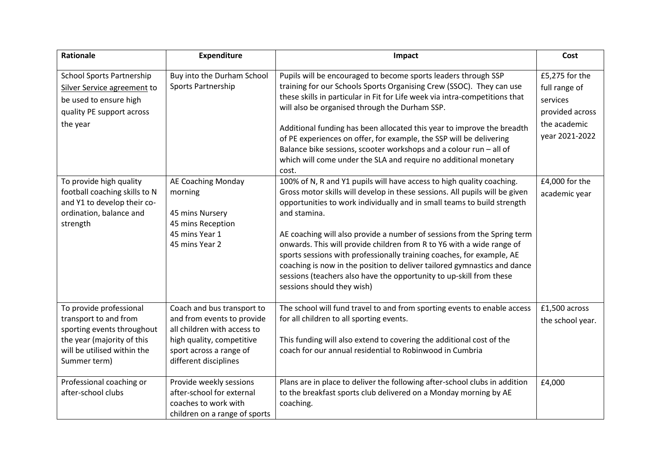| <b>Rationale</b>                                                                                                                   | <b>Expenditure</b>                                                                                                   | Impact                                                                                                                                                                                                                                                                                                                                                                                                                                                                                                                                                                                                                          | Cost                                                                           |
|------------------------------------------------------------------------------------------------------------------------------------|----------------------------------------------------------------------------------------------------------------------|---------------------------------------------------------------------------------------------------------------------------------------------------------------------------------------------------------------------------------------------------------------------------------------------------------------------------------------------------------------------------------------------------------------------------------------------------------------------------------------------------------------------------------------------------------------------------------------------------------------------------------|--------------------------------------------------------------------------------|
| <b>School Sports Partnership</b><br>Silver Service agreement to<br>be used to ensure high<br>quality PE support across<br>the year | Buy into the Durham School<br>Sports Partnership                                                                     | Pupils will be encouraged to become sports leaders through SSP<br>training for our Schools Sports Organising Crew (SSOC). They can use<br>these skills in particular in Fit for Life week via intra-competitions that<br>will also be organised through the Durham SSP.<br>Additional funding has been allocated this year to improve the breadth                                                                                                                                                                                                                                                                               | £5,275 for the<br>full range of<br>services<br>provided across<br>the academic |
|                                                                                                                                    |                                                                                                                      | of PE experiences on offer, for example, the SSP will be delivering<br>Balance bike sessions, scooter workshops and a colour run - all of<br>which will come under the SLA and require no additional monetary<br>cost.                                                                                                                                                                                                                                                                                                                                                                                                          | year 2021-2022                                                                 |
| To provide high quality<br>football coaching skills to N<br>and Y1 to develop their co-<br>ordination, balance and<br>strength     | AE Coaching Monday<br>morning<br>45 mins Nursery<br>45 mins Reception<br>45 mins Year 1<br>45 mins Year 2            | 100% of N, R and Y1 pupils will have access to high quality coaching.<br>Gross motor skills will develop in these sessions. All pupils will be given<br>opportunities to work individually and in small teams to build strength<br>and stamina.<br>AE coaching will also provide a number of sessions from the Spring term<br>onwards. This will provide children from R to Y6 with a wide range of<br>sports sessions with professionally training coaches, for example, AE<br>coaching is now in the position to deliver tailored gymnastics and dance<br>sessions (teachers also have the opportunity to up-skill from these | £4,000 for the<br>academic year                                                |
|                                                                                                                                    |                                                                                                                      | sessions should they wish)                                                                                                                                                                                                                                                                                                                                                                                                                                                                                                                                                                                                      |                                                                                |
| To provide professional<br>transport to and from<br>sporting events throughout<br>the year (majority of this                       | Coach and bus transport to<br>and from events to provide<br>all children with access to<br>high quality, competitive | The school will fund travel to and from sporting events to enable access<br>for all children to all sporting events.<br>This funding will also extend to covering the additional cost of the                                                                                                                                                                                                                                                                                                                                                                                                                                    | £1,500 across<br>the school year.                                              |
| will be utilised within the<br>Summer term)                                                                                        | sport across a range of<br>different disciplines                                                                     | coach for our annual residential to Robinwood in Cumbria                                                                                                                                                                                                                                                                                                                                                                                                                                                                                                                                                                        |                                                                                |
| Professional coaching or<br>after-school clubs                                                                                     | Provide weekly sessions<br>after-school for external<br>coaches to work with<br>children on a range of sports        | Plans are in place to deliver the following after-school clubs in addition<br>to the breakfast sports club delivered on a Monday morning by AE<br>coaching.                                                                                                                                                                                                                                                                                                                                                                                                                                                                     | £4,000                                                                         |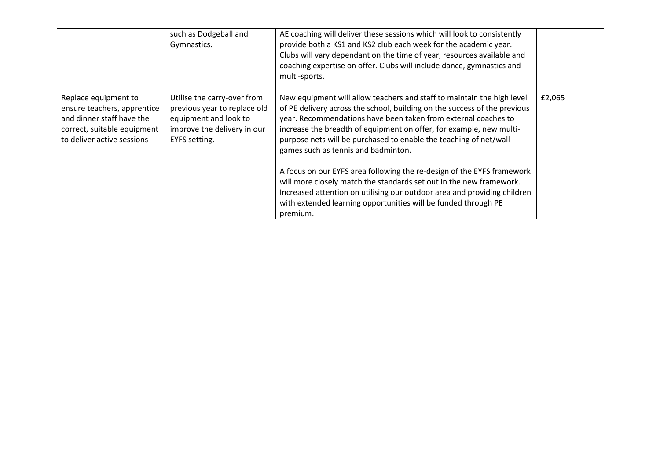|                                                                                                                                               | such as Dodgeball and<br>Gymnastics.                                                                                                 | AE coaching will deliver these sessions which will look to consistently<br>provide both a KS1 and KS2 club each week for the academic year.<br>Clubs will vary dependant on the time of year, resources available and<br>coaching expertise on offer. Clubs will include dance, gymnastics and<br>multi-sports.                                                                                          |        |
|-----------------------------------------------------------------------------------------------------------------------------------------------|--------------------------------------------------------------------------------------------------------------------------------------|----------------------------------------------------------------------------------------------------------------------------------------------------------------------------------------------------------------------------------------------------------------------------------------------------------------------------------------------------------------------------------------------------------|--------|
| Replace equipment to<br>ensure teachers, apprentice<br>and dinner staff have the<br>correct, suitable equipment<br>to deliver active sessions | Utilise the carry-over from<br>previous year to replace old<br>equipment and look to<br>improve the delivery in our<br>EYFS setting. | New equipment will allow teachers and staff to maintain the high level<br>of PE delivery across the school, building on the success of the previous<br>year. Recommendations have been taken from external coaches to<br>increase the breadth of equipment on offer, for example, new multi-<br>purpose nets will be purchased to enable the teaching of net/wall<br>games such as tennis and badminton. | £2,065 |
|                                                                                                                                               |                                                                                                                                      | A focus on our EYFS area following the re-design of the EYFS framework<br>will more closely match the standards set out in the new framework.<br>Increased attention on utilising our outdoor area and providing children<br>with extended learning opportunities will be funded through PE<br>premium.                                                                                                  |        |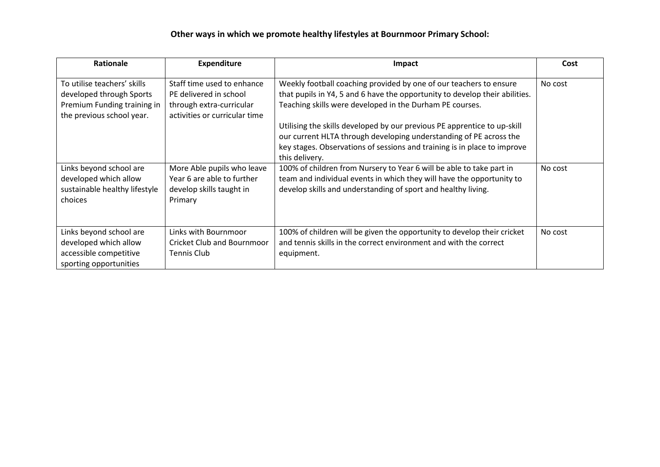# **Other ways in which we promote healthy lifestyles at Bournmoor Primary School:**

| <b>Rationale</b>                                                                                                    | <b>Expenditure</b>                                                                                                | Impact                                                                                                                                                                                                                                       | Cost    |
|---------------------------------------------------------------------------------------------------------------------|-------------------------------------------------------------------------------------------------------------------|----------------------------------------------------------------------------------------------------------------------------------------------------------------------------------------------------------------------------------------------|---------|
| To utilise teachers' skills<br>developed through Sports<br>Premium Funding training in<br>the previous school year. | Staff time used to enhance<br>PE delivered in school<br>through extra-curricular<br>activities or curricular time | Weekly football coaching provided by one of our teachers to ensure<br>that pupils in Y4, 5 and 6 have the opportunity to develop their abilities.<br>Teaching skills were developed in the Durham PE courses.                                | No cost |
|                                                                                                                     |                                                                                                                   | Utilising the skills developed by our previous PE apprentice to up-skill<br>our current HLTA through developing understanding of PE across the<br>key stages. Observations of sessions and training is in place to improve<br>this delivery. |         |
| Links beyond school are<br>developed which allow<br>sustainable healthy lifestyle<br>choices                        | More Able pupils who leave<br>Year 6 are able to further<br>develop skills taught in<br>Primary                   | 100% of children from Nursery to Year 6 will be able to take part in<br>team and individual events in which they will have the opportunity to<br>develop skills and understanding of sport and healthy living.                               | No cost |
| Links beyond school are<br>developed which allow<br>accessible competitive<br>sporting opportunities                | Links with Bournmoor<br><b>Cricket Club and Bournmoor</b><br><b>Tennis Club</b>                                   | 100% of children will be given the opportunity to develop their cricket<br>and tennis skills in the correct environment and with the correct<br>equipment.                                                                                   | No cost |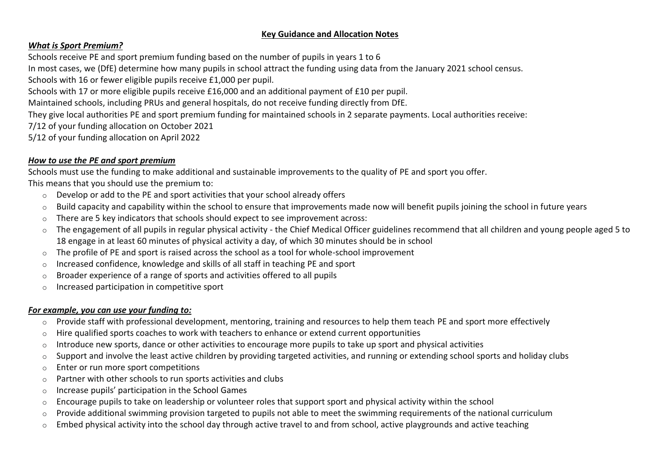#### **Key Guidance and Allocation Notes**

### *What is Sport Premium?*

Schools receive PE and sport premium funding based on the number of pupils in years 1 to 6

In most cases, we (DfE) determine how many pupils in school attract the funding using data from the January 2021 school census.

Schools with 16 or fewer eligible pupils receive £1,000 per pupil.

Schools with 17 or more eligible pupils receive £16,000 and an additional payment of £10 per pupil.

Maintained schools, including PRUs and general hospitals, do not receive funding directly from DfE.

They give local authorities PE and sport premium funding for maintained schools in 2 separate payments. Local authorities receive:

7/12 of your funding allocation on October 2021

5/12 of your funding allocation on April 2022

## *How to use the PE and sport premium*

Schools must use the funding to make additional and sustainable improvements to the quality of PE and sport you offer.

This means that you should use the premium to:

- o Develop or add to the PE and sport activities that your school already offers
- Build capacity and capability within the school to ensure that improvements made now will benefit pupils joining the school in future years
- o There are 5 key indicators that schools should expect to see improvement across:
- $\circ$  The engagement of all pupils in regular physical activity the Chief Medical Officer guidelines recommend that all children and young people aged 5 to 18 engage in at least 60 minutes of physical activity a day, of which 30 minutes should be in school
- o The profile of PE and sport is raised across the school as a tool for whole-school improvement
- o Increased confidence, knowledge and skills of all staff in teaching PE and sport
- o Broader experience of a range of sports and activities offered to all pupils
- o Increased participation in competitive sport

## *For example, you can use your funding to:*

- o Provide staff with professional development, mentoring, training and resources to help them teach PE and sport more effectively
- o Hire qualified sports coaches to work with teachers to enhance or extend current opportunities
- $\circ$  Introduce new sports, dance or other activities to encourage more pupils to take up sport and physical activities
- o Support and involve the least active children by providing targeted activities, and running or extending school sports and holiday clubs
- o Enter or run more sport competitions
- o Partner with other schools to run sports activities and clubs
- $\circ$  Increase pupils' participation in the School [Games](https://www.gov.uk/government/policies/getting-more-people-playing-sport/supporting-pages/the-school-games)
- o Encourage pupils to take on leadership or volunteer roles that support sport and physical activity within the school
- $\circ$  Provide additional swimming provision targeted to pupils not able to meet the swimming requirements of the national curriculum
- $\circ$  Embed physical activity into the school day through active travel to and from school, active playgrounds and active teaching